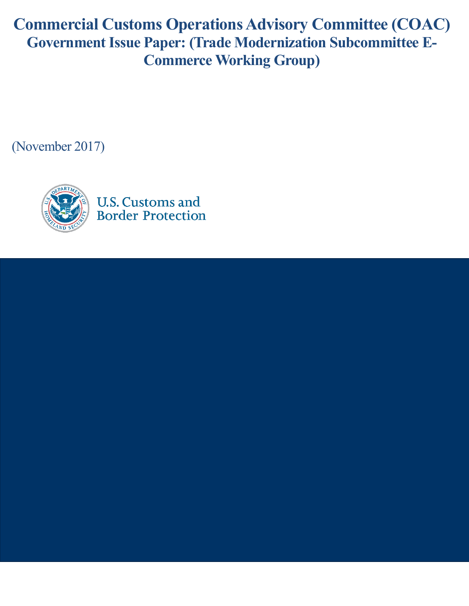**Commercial Customs Operations Advisory Committee (COAC) Government Issue Paper: (Trade Modernization Subcommittee E-Commerce Working Group)**

(November 2017)